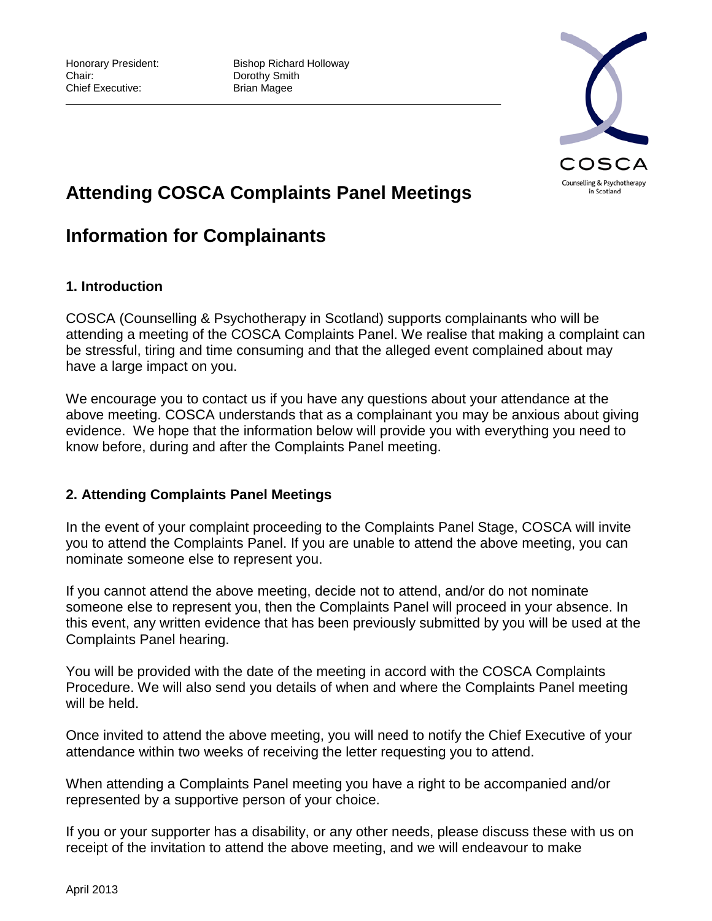Chief Executive:

Honorary President: Bishop Richard Holloway<br>
Chair: Chair: Dorothy Smith Dorothy Smith<br>Brian Magee



# **Attending COSCA Complaints Panel Meetings**

## **Information for Complainants**

### **1. Introduction**

COSCA (Counselling & Psychotherapy in Scotland) supports complainants who will be attending a meeting of the COSCA Complaints Panel. We realise that making a complaint can be stressful, tiring and time consuming and that the alleged event complained about may have a large impact on you.

We encourage you to contact us if you have any questions about your attendance at the above meeting. COSCA understands that as a complainant you may be anxious about giving evidence. We hope that the information below will provide you with everything you need to know before, during and after the Complaints Panel meeting.

#### **2. Attending Complaints Panel Meetings**

In the event of your complaint proceeding to the Complaints Panel Stage, COSCA will invite you to attend the Complaints Panel. If you are unable to attend the above meeting, you can nominate someone else to represent you.

If you cannot attend the above meeting, decide not to attend, and/or do not nominate someone else to represent you, then the Complaints Panel will proceed in your absence. In this event, any written evidence that has been previously submitted by you will be used at the Complaints Panel hearing.

You will be provided with the date of the meeting in accord with the COSCA Complaints Procedure. We will also send you details of when and where the Complaints Panel meeting will be held.

Once invited to attend the above meeting, you will need to notify the Chief Executive of your attendance within two weeks of receiving the letter requesting you to attend.

When attending a Complaints Panel meeting you have a right to be accompanied and/or represented by a supportive person of your choice.

If you or your supporter has a disability, or any other needs, please discuss these with us on receipt of the invitation to attend the above meeting, and we will endeavour to make